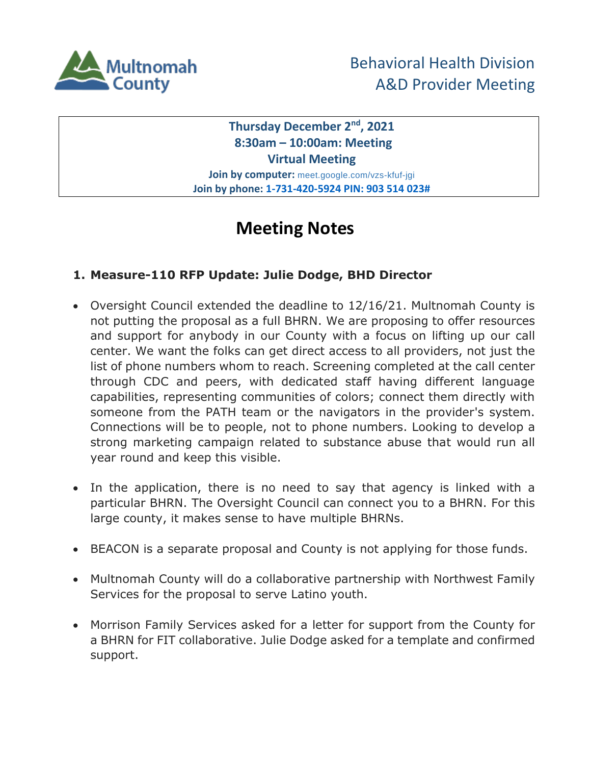

**Thursday December 2nd, 2021 8:30am – 10:00am: Meeting Virtual Meeting Join by computer:** meet.google.com/vzs-kfuf-jgi

**Join by phone: 1-731-420-5924 PIN: 903 514 023#**

# **Meeting Notes**

# **1. Measure-110 RFP Update: Julie Dodge, BHD Director**

- Oversight Council extended the deadline to 12/16/21. Multnomah County is not putting the proposal as a full BHRN. We are proposing to offer resources and support for anybody in our County with a focus on lifting up our call center. We want the folks can get direct access to all providers, not just the list of phone numbers whom to reach. Screening completed at the call center through CDC and peers, with dedicated staff having different language capabilities, representing communities of colors; connect them directly with someone from the PATH team or the navigators in the provider's system. Connections will be to people, not to phone numbers. Looking to develop a strong marketing campaign related to substance abuse that would run all year round and keep this visible.
- In the application, there is no need to say that agency is linked with a particular BHRN. The Oversight Council can connect you to a BHRN. For this large county, it makes sense to have multiple BHRNs.
- BEACON is a separate proposal and County is not applying for those funds.
- Multnomah County will do a collaborative partnership with Northwest Family Services for the proposal to serve Latino youth.
- Morrison Family Services asked for a letter for support from the County for a BHRN for FIT collaborative. Julie Dodge asked for a template and confirmed support.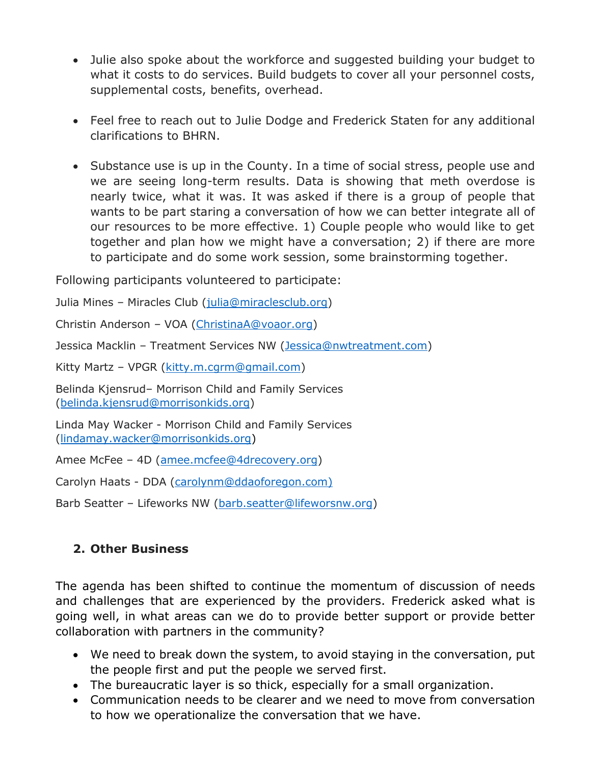- Julie also spoke about the workforce and suggested building your budget to what it costs to do services. Build budgets to cover all your personnel costs, supplemental costs, benefits, overhead.
- Feel free to reach out to Julie Dodge and Frederick Staten for any additional clarifications to BHRN.
- Substance use is up in the County. In a time of social stress, people use and we are seeing long-term results. Data is showing that meth overdose is nearly twice, what it was. It was asked if there is a group of people that wants to be part staring a conversation of how we can better integrate all of our resources to be more effective. 1) Couple people who would like to get together and plan how we might have a conversation; 2) if there are more to participate and do some work session, some brainstorming together.

Following participants volunteered to participate:

Julia Mines - Miracles Club [\(julia@miraclesclub.org\)](mailto:julia@miraclesclub.org)

Christin Anderson – VOA [\(ChristinaA@voaor.org\)](mailto:ChristinaA@voaor.org)

Jessica Macklin – Treatment Services NW [\(Jessica@nwtreatment.com\)](mailto:Jessica@nwtreatment.com)

Kitty Martz - VPGR [\(kitty.m.cgrm@gmail.com\)](mailto:kitty.m.cgrm@gmail.com)

Belinda Kjensrud– Morrison Child and Family Services [\(belinda.kjensrud@morrisonkids.org\)](mailto:belinda.kjensrud@morrisonkids.org)

Linda May Wacker - Morrison Child and Family Services [\(lindamay.wacker@morrisonkids.org\)](mailto:lindamay.wacker@morrisonkids.org)

Amee McFee – 4D [\(amee.mcfee@4drecovery.org\)](mailto:amee.mcfee@4drecovery.org)

Carolyn Haats - DDA [\(carolynm@ddaoforegon.com\)](mailto:carolynm@ddaoforegon.com)

Barb Seatter – Lifeworks NW [\(barb.seatter@lifeworsnw.org\)](mailto:barb.seatter@lifeworsnw.org)

# **2. Other Business**

The agenda has been shifted to continue the momentum of discussion of needs and challenges that are experienced by the providers. Frederick asked what is going well, in what areas can we do to provide better support or provide better collaboration with partners in the community?

- We need to break down the system, to avoid staying in the conversation, put the people first and put the people we served first.
- The bureaucratic layer is so thick, especially for a small organization.
- Communication needs to be clearer and we need to move from conversation to how we operationalize the conversation that we have.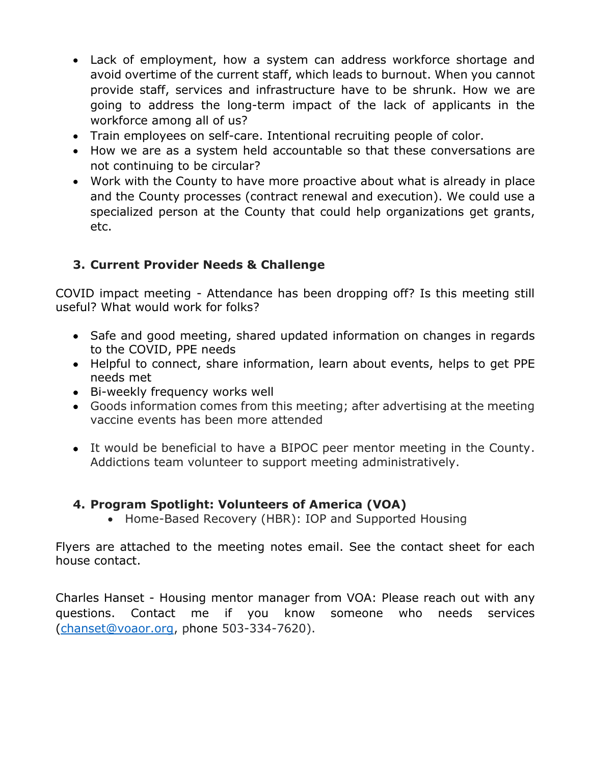- Lack of employment, how a system can address workforce shortage and avoid overtime of the current staff, which leads to burnout. When you cannot provide staff, services and infrastructure have to be shrunk. How we are going to address the long-term impact of the lack of applicants in the workforce among all of us?
- Train employees on self-care. Intentional recruiting people of color.
- How we are as a system held accountable so that these conversations are not continuing to be circular?
- Work with the County to have more proactive about what is already in place and the County processes (contract renewal and execution). We could use a specialized person at the County that could help organizations get grants, etc.

# **3. Current Provider Needs & Challenge**

COVID impact meeting - Attendance has been dropping off? Is this meeting still useful? What would work for folks?

- Safe and good meeting, shared updated information on changes in regards to the COVID, PPE needs
- Helpful to connect, share information, learn about events, helps to get PPE needs met
- Bi-weekly frequency works well
- Goods information comes from this meeting; after advertising at the meeting vaccine events has been more attended
- It would be beneficial to have a BIPOC peer mentor meeting in the County. Addictions team volunteer to support meeting administratively.

# **4. Program Spotlight: Volunteers of America (VOA)**

• Home-Based Recovery (HBR): IOP and Supported Housing

Flyers are attached to the meeting notes email. See the contact sheet for each house contact.

Charles Hanset - Housing mentor manager from VOA: Please reach out with any questions. Contact me if you know someone who needs services [\(chanset@voaor.org,](mailto:chanset@voaor.org) phone 503-334-7620).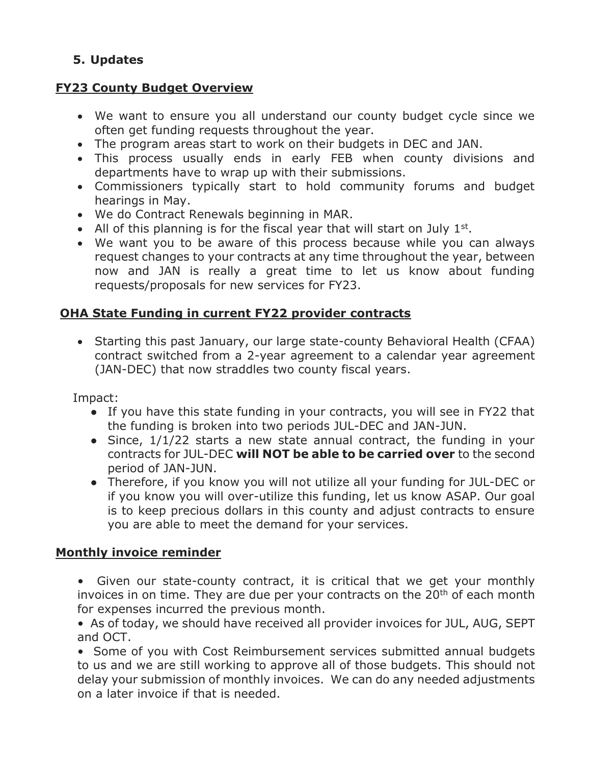# **5. Updates**

### **FY23 County Budget Overview**

- We want to ensure you all understand our county budget cycle since we often get funding requests throughout the year.
- The program areas start to work on their budgets in DEC and JAN.
- This process usually ends in early FEB when county divisions and departments have to wrap up with their submissions.
- Commissioners typically start to hold community forums and budget hearings in May.
- We do Contract Renewals beginning in MAR.
- All of this planning is for the fiscal year that will start on July  $1<sup>st</sup>$ .
- We want you to be aware of this process because while you can always request changes to your contracts at any time throughout the year, between now and JAN is really a great time to let us know about funding requests/proposals for new services for FY23.

### **OHA State Funding in current FY22 provider contracts**

 Starting this past January, our large state-county Behavioral Health (CFAA) contract switched from a 2-year agreement to a calendar year agreement (JAN-DEC) that now straddles two county fiscal years.

Impact:

- If you have this state funding in your contracts, you will see in FY22 that the funding is broken into two periods JUL-DEC and JAN-JUN.
- Since, 1/1/22 starts a new state annual contract, the funding in your contracts for JUL-DEC **will NOT be able to be carried over** to the second period of JAN-JUN.
- Therefore, if you know you will not utilize all your funding for JUL-DEC or if you know you will over-utilize this funding, let us know ASAP. Our goal is to keep precious dollars in this county and adjust contracts to ensure you are able to meet the demand for your services.

#### **Monthly invoice reminder**

- Given our state-county contract, it is critical that we get your monthly invoices in on time. They are due per your contracts on the 20<sup>th</sup> of each month for expenses incurred the previous month.
- As of today, we should have received all provider invoices for JUL, AUG, SEPT and OCT.

• Some of you with Cost Reimbursement services submitted annual budgets to us and we are still working to approve all of those budgets. This should not delay your submission of monthly invoices. We can do any needed adjustments on a later invoice if that is needed.